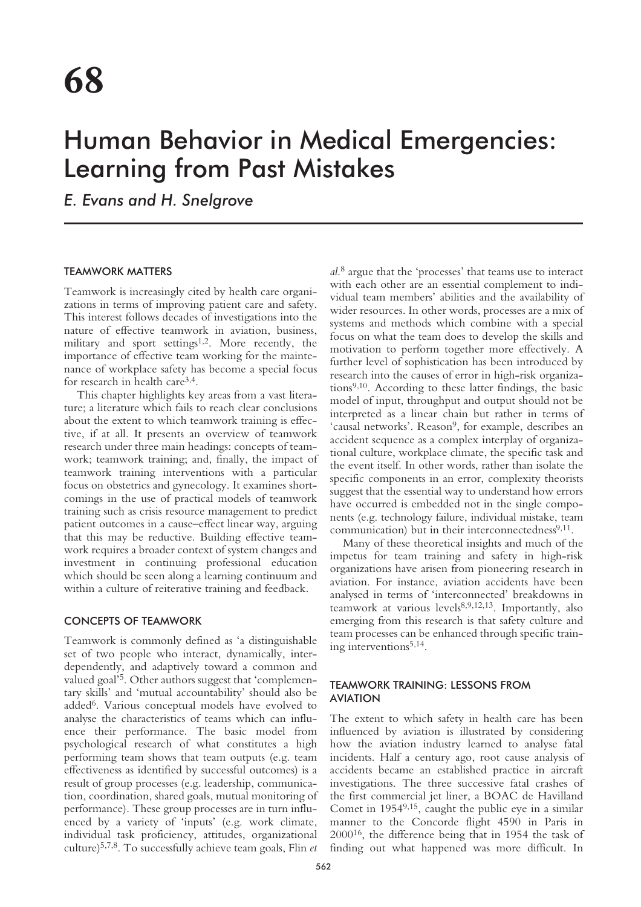# Human Behavior in Medical Emergencies: Learning from Past Mistakes

*E. Evans and H. Snelgrove*

# TEAMWORK MATTERS

Teamwork is increasingly cited by health care organizations in terms of improving patient care and safety. This interest follows decades of investigations into the nature of effective teamwork in aviation, business, military and sport settings<sup>1,2</sup>. More recently, the importance of effective team working for the maintenance of workplace safety has become a special focus for research in health care3,4.

This chapter highlights key areas from a vast literature; a literature which fails to reach clear conclusions about the extent to which teamwork training is effective, if at all. It presents an overview of teamwork research under three main headings: concepts of teamwork; teamwork training; and, finally, the impact of teamwork training interventions with a particular focus on obstetrics and gynecology. It examines shortcomings in the use of practical models of teamwork training such as crisis resource management to predict patient outcomes in a cause–effect linear way, arguing that this may be reductive. Building effective teamwork requires a broader context of system changes and investment in continuing professional education which should be seen along a learning continuum and within a culture of reiterative training and feedback.

# CONCEPTS OF TEAMWORK

Teamwork is commonly defined as 'a distinguishable set of two people who interact, dynamically, interdependently, and adaptively toward a common and valued goal'5. Other authors suggest that 'complementary skills' and 'mutual accountability' should also be added6. Various conceptual models have evolved to analyse the characteristics of teams which can influence their performance. The basic model from psychological research of what constitutes a high performing team shows that team outputs (e.g. team effectiveness as identified by successful outcomes) is a result of group processes (e.g. leadership, communication, coordination, shared goals, mutual monitoring of performance). These group processes are in turn influenced by a variety of 'inputs' (e.g. work climate, individual task proficiency, attitudes, organizational culture)5,7,8. To successfully achieve team goals, Flin *et*

*al*. <sup>8</sup> argue that the 'processes' that teams use to interact with each other are an essential complement to individual team members' abilities and the availability of wider resources. In other words, processes are a mix of systems and methods which combine with a special focus on what the team does to develop the skills and motivation to perform together more effectively. A further level of sophistication has been introduced by research into the causes of error in high-risk organizations9,10. According to these latter findings, the basic model of input, throughput and output should not be interpreted as a linear chain but rather in terms of 'causal networks'. Reason<sup>9</sup>, for example, describes an accident sequence as a complex interplay of organizational culture, workplace climate, the specific task and the event itself. In other words, rather than isolate the specific components in an error, complexity theorists suggest that the essential way to understand how errors have occurred is embedded not in the single components (e.g. technology failure, individual mistake, team communication) but in their interconnectedness $9,11$ .

Many of these theoretical insights and much of the impetus for team training and safety in high-risk organizations have arisen from pioneering research in aviation. For instance, aviation accidents have been analysed in terms of 'interconnected' breakdowns in teamwork at various levels8,9,12,13. Importantly, also emerging from this research is that safety culture and team processes can be enhanced through specific training interventions5,14.

# TEAMWORK TRAINING: LESSONS FROM AVIATION

The extent to which safety in health care has been influenced by aviation is illustrated by considering how the aviation industry learned to analyse fatal incidents. Half a century ago, root cause analysis of accidents became an established practice in aircraft investigations. The three successive fatal crashes of the first commercial jet liner, a BOAC de Havilland Comet in 19549,15, caught the public eye in a similar manner to the Concorde flight 4590 in Paris in 200016, the difference being that in 1954 the task of finding out what happened was more difficult. In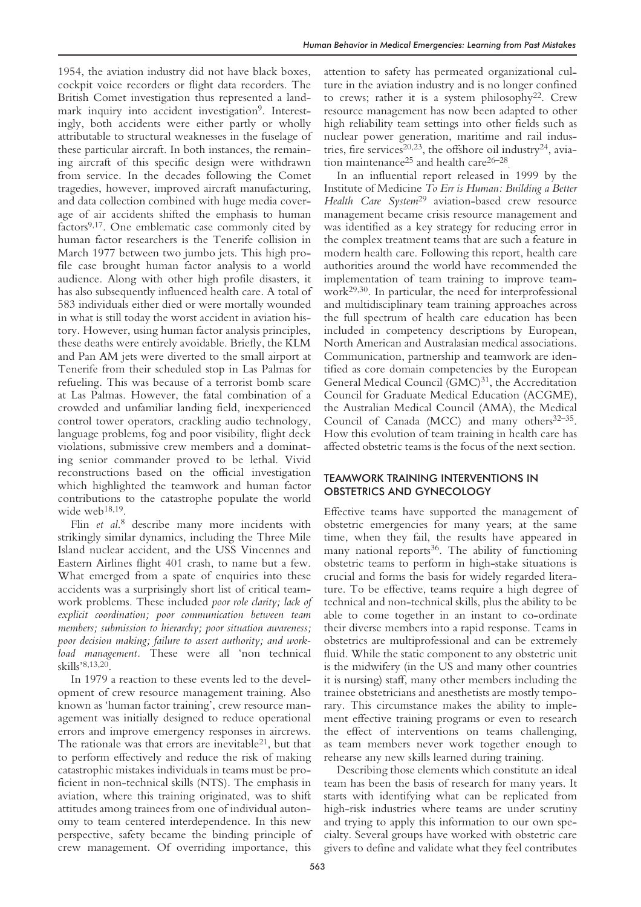1954, the aviation industry did not have black boxes, cockpit voice recorders or flight data recorders. The British Comet investigation thus represented a landmark inquiry into accident investigation<sup>9</sup>. Interestingly, both accidents were either partly or wholly attributable to structural weaknesses in the fuselage of these particular aircraft. In both instances, the remaining aircraft of this specific design were withdrawn from service. In the decades following the Comet tragedies, however, improved aircraft manufacturing, and data collection combined with huge media coverage of air accidents shifted the emphasis to human factors $9,17$ . One emblematic case commonly cited by human factor researchers is the Tenerife collision in March 1977 between two jumbo jets. This high profile case brought human factor analysis to a world audience. Along with other high profile disasters, it has also subsequently influenced health care. A total of 583 individuals either died or were mortally wounded in what is still today the worst accident in aviation history. However, using human factor analysis principles, these deaths were entirely avoidable. Briefly, the KLM and Pan AM jets were diverted to the small airport at Tenerife from their scheduled stop in Las Palmas for refueling. This was because of a terrorist bomb scare at Las Palmas. However, the fatal combination of a crowded and unfamiliar landing field, inexperienced control tower operators, crackling audio technology, language problems, fog and poor visibility, flight deck violations, submissive crew members and a dominating senior commander proved to be lethal. Vivid reconstructions based on the official investigation which highlighted the teamwork and human factor contributions to the catastrophe populate the world wide web<sup>18,19</sup>.

Flin *et al*. <sup>8</sup> describe many more incidents with strikingly similar dynamics, including the Three Mile Island nuclear accident, and the USS Vincennes and Eastern Airlines flight 401 crash, to name but a few. What emerged from a spate of enquiries into these accidents was a surprisingly short list of critical teamwork problems. These included *poor role clarity; lack of explicit coordination; poor communication between team members; submission to hierarchy; poor situation awareness; poor decision making; failure to assert authority; and workload management.* These were all 'non technical skills'8,13,20.

In 1979 a reaction to these events led to the development of crew resource management training. Also known as 'human factor training', crew resource management was initially designed to reduce operational errors and improve emergency responses in aircrews. The rationale was that errors are inevitable<sup>21</sup>, but that to perform effectively and reduce the risk of making catastrophic mistakes individuals in teams must be proficient in non-technical skills (NTS). The emphasis in aviation, where this training originated, was to shift attitudes among trainees from one of individual autonomy to team centered interdependence. In this new perspective, safety became the binding principle of crew management. Of overriding importance, this

attention to safety has permeated organizational culture in the aviation industry and is no longer confined to crews; rather it is a system philosophy22. Crew resource management has now been adapted to other high reliability team settings into other fields such as nuclear power generation, maritime and rail industries, fire services<sup>20,23</sup>, the offshore oil industry<sup>24</sup>, aviation maintenance<sup>25</sup> and health care<sup>26-28</sup>.

In an influential report released in 1999 by the Institute of Medicine *To Err is Human: Building a Better Health Care System*<sup>29</sup> aviation-based crew resource management became crisis resource management and was identified as a key strategy for reducing error in the complex treatment teams that are such a feature in modern health care. Following this report, health care authorities around the world have recommended the implementation of team training to improve teamwork29,30. In particular, the need for interprofessional and multidisciplinary team training approaches across the full spectrum of health care education has been included in competency descriptions by European, North American and Australasian medical associations. Communication, partnership and teamwork are identified as core domain competencies by the European General Medical Council (GMC)<sup>31</sup>, the Accreditation Council for Graduate Medical Education (ACGME), the Australian Medical Council (AMA), the Medical Council of Canada (MCC) and many others<sup>32-35</sup>. How this evolution of team training in health care has affected obstetric teams is the focus of the next section.

# TEAMWORK TRAINING INTERVENTIONS IN OBSTETRICS AND GYNECOLOGY

Effective teams have supported the management of obstetric emergencies for many years; at the same time, when they fail, the results have appeared in many national reports $36$ . The ability of functioning obstetric teams to perform in high-stake situations is crucial and forms the basis for widely regarded literature. To be effective, teams require a high degree of technical and non-technical skills, plus the ability to be able to come together in an instant to co-ordinate their diverse members into a rapid response. Teams in obstetrics are multiprofessional and can be extremely fluid. While the static component to any obstetric unit is the midwifery (in the US and many other countries it is nursing) staff, many other members including the trainee obstetricians and anesthetists are mostly temporary. This circumstance makes the ability to implement effective training programs or even to research the effect of interventions on teams challenging, as team members never work together enough to rehearse any new skills learned during training.

Describing those elements which constitute an ideal team has been the basis of research for many years. It starts with identifying what can be replicated from high-risk industries where teams are under scrutiny and trying to apply this information to our own specialty. Several groups have worked with obstetric care givers to define and validate what they feel contributes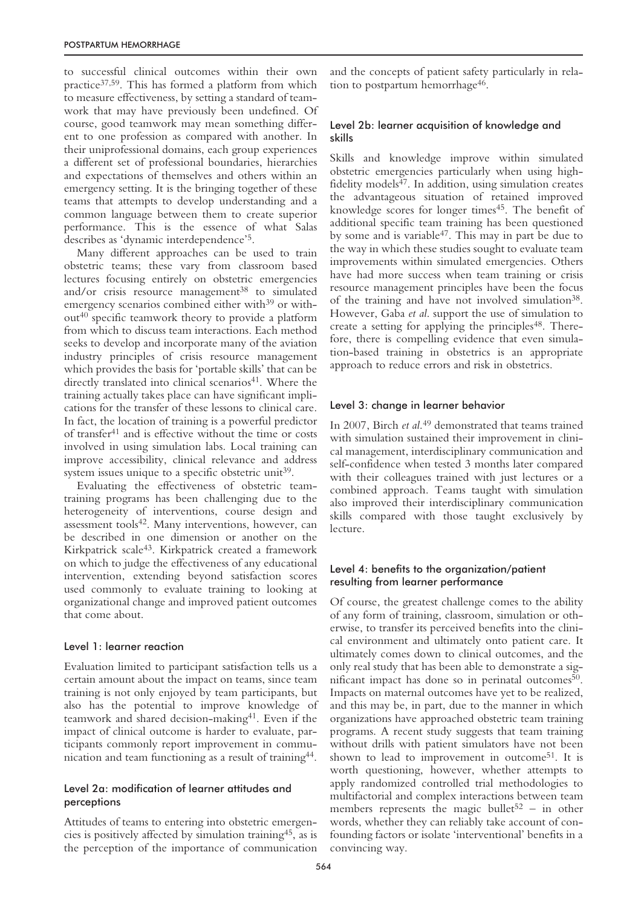to successful clinical outcomes within their own practice37,59. This has formed a platform from which to measure effectiveness, by setting a standard of teamwork that may have previously been undefined. Of course, good teamwork may mean something different to one profession as compared with another. In their uniprofessional domains, each group experiences a different set of professional boundaries, hierarchies and expectations of themselves and others within an emergency setting. It is the bringing together of these teams that attempts to develop understanding and a common language between them to create superior performance. This is the essence of what Salas describes as 'dynamic interdependence'5.

Many different approaches can be used to train obstetric teams; these vary from classroom based lectures focusing entirely on obstetric emergencies and/or crisis resource management<sup>38</sup> to simulated emergency scenarios combined either with<sup>39</sup> or without40 specific teamwork theory to provide a platform from which to discuss team interactions. Each method seeks to develop and incorporate many of the aviation industry principles of crisis resource management which provides the basis for 'portable skills' that can be directly translated into clinical scenarios<sup>41</sup>. Where the training actually takes place can have significant implications for the transfer of these lessons to clinical care. In fact, the location of training is a powerful predictor of transfer41 and is effective without the time or costs involved in using simulation labs. Local training can improve accessibility, clinical relevance and address system issues unique to a specific obstetric unit<sup>39</sup>.

Evaluating the effectiveness of obstetric teamtraining programs has been challenging due to the heterogeneity of interventions, course design and assessment tools<sup>42</sup>. Many interventions, however, can be described in one dimension or another on the Kirkpatrick scale43. Kirkpatrick created a framework on which to judge the effectiveness of any educational intervention, extending beyond satisfaction scores used commonly to evaluate training to looking at organizational change and improved patient outcomes that come about.

## Level 1: learner reaction

Evaluation limited to participant satisfaction tells us a certain amount about the impact on teams, since team training is not only enjoyed by team participants, but also has the potential to improve knowledge of teamwork and shared decision-making41. Even if the impact of clinical outcome is harder to evaluate, participants commonly report improvement in communication and team functioning as a result of training44.

## Level 2a: modification of learner attitudes and perceptions

Attitudes of teams to entering into obstetric emergencies is positively affected by simulation training45, as is the perception of the importance of communication

and the concepts of patient safety particularly in relation to postpartum hemorrhage<sup>46</sup>.

## Level 2b: learner acquisition of knowledge and skills

Skills and knowledge improve within simulated obstetric emergencies particularly when using highfidelity models<sup>47</sup>. In addition, using simulation creates the advantageous situation of retained improved knowledge scores for longer times<sup>45</sup>. The benefit of additional specific team training has been questioned by some and is variable<sup>47</sup>. This may in part be due to the way in which these studies sought to evaluate team improvements within simulated emergencies. Others have had more success when team training or crisis resource management principles have been the focus of the training and have not involved simulation<sup>38</sup>. However, Gaba *et al*. support the use of simulation to create a setting for applying the principles<sup>48</sup>. Therefore, there is compelling evidence that even simulation-based training in obstetrics is an appropriate approach to reduce errors and risk in obstetrics.

## Level 3: change in learner behavior

In 2007, Birch *et al*. <sup>49</sup> demonstrated that teams trained with simulation sustained their improvement in clinical management, interdisciplinary communication and self-confidence when tested 3 months later compared with their colleagues trained with just lectures or a combined approach. Teams taught with simulation also improved their interdisciplinary communication skills compared with those taught exclusively by lecture.

## Level 4: benefits to the organization/patient resulting from learner performance

Of course, the greatest challenge comes to the ability of any form of training, classroom, simulation or otherwise, to transfer its perceived benefits into the clinical environment and ultimately onto patient care. It ultimately comes down to clinical outcomes, and the only real study that has been able to demonstrate a significant impact has done so in perinatal outcomes  $50$ . Impacts on maternal outcomes have yet to be realized, and this may be, in part, due to the manner in which organizations have approached obstetric team training programs. A recent study suggests that team training without drills with patient simulators have not been shown to lead to improvement in outcome<sup>51</sup>. It is worth questioning, however, whether attempts to apply randomized controlled trial methodologies to multifactorial and complex interactions between team members represents the magic bullet<sup>52</sup> – in other words, whether they can reliably take account of confounding factors or isolate 'interventional' benefits in a convincing way.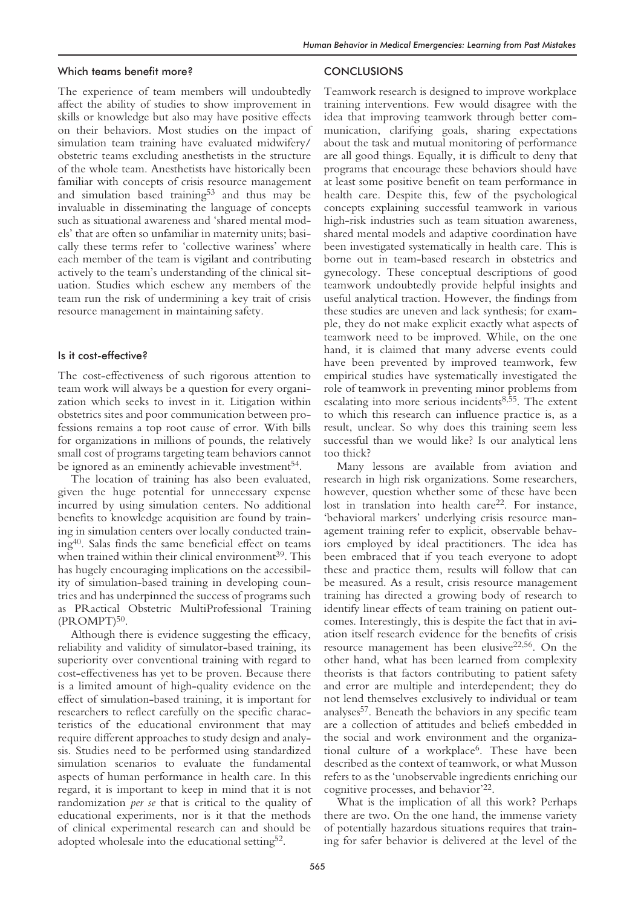## Which teams benefit more?

The experience of team members will undoubtedly affect the ability of studies to show improvement in skills or knowledge but also may have positive effects on their behaviors. Most studies on the impact of simulation team training have evaluated midwifery/ obstetric teams excluding anesthetists in the structure of the whole team. Anesthetists have historically been familiar with concepts of crisis resource management and simulation based training53 and thus may be invaluable in disseminating the language of concepts such as situational awareness and 'shared mental models' that are often so unfamiliar in maternity units; basically these terms refer to 'collective wariness' where each member of the team is vigilant and contributing actively to the team's understanding of the clinical situation. Studies which eschew any members of the team run the risk of undermining a key trait of crisis resource management in maintaining safety.

#### Is it cost-effective?

The cost-effectiveness of such rigorous attention to team work will always be a question for every organization which seeks to invest in it. Litigation within obstetrics sites and poor communication between professions remains a top root cause of error. With bills for organizations in millions of pounds, the relatively small cost of programs targeting team behaviors cannot be ignored as an eminently achievable investment<sup>54</sup>.

The location of training has also been evaluated, given the huge potential for unnecessary expense incurred by using simulation centers. No additional benefits to knowledge acquisition are found by training in simulation centers over locally conducted training40. Salas finds the same beneficial effect on teams when trained within their clinical environment<sup>39</sup>. This has hugely encouraging implications on the accessibility of simulation-based training in developing countries and has underpinned the success of programs such as PRactical Obstetric MultiProfessional Training  $(PROMPT)^{50}$ .

Although there is evidence suggesting the efficacy, reliability and validity of simulator-based training, its superiority over conventional training with regard to cost-effectiveness has yet to be proven. Because there is a limited amount of high-quality evidence on the effect of simulation-based training, it is important for researchers to reflect carefully on the specific characteristics of the educational environment that may require different approaches to study design and analysis. Studies need to be performed using standardized simulation scenarios to evaluate the fundamental aspects of human performance in health care. In this regard, it is important to keep in mind that it is not randomization *per se* that is critical to the quality of educational experiments, nor is it that the methods of clinical experimental research can and should be adopted wholesale into the educational setting52.

## **CONCLUSIONS**

Teamwork research is designed to improve workplace training interventions. Few would disagree with the idea that improving teamwork through better communication, clarifying goals, sharing expectations about the task and mutual monitoring of performance are all good things. Equally, it is difficult to deny that programs that encourage these behaviors should have at least some positive benefit on team performance in health care. Despite this, few of the psychological concepts explaining successful teamwork in various high-risk industries such as team situation awareness, shared mental models and adaptive coordination have been investigated systematically in health care. This is borne out in team-based research in obstetrics and gynecology. These conceptual descriptions of good teamwork undoubtedly provide helpful insights and useful analytical traction. However, the findings from these studies are uneven and lack synthesis; for example, they do not make explicit exactly what aspects of teamwork need to be improved. While, on the one hand, it is claimed that many adverse events could have been prevented by improved teamwork, few empirical studies have systematically investigated the role of teamwork in preventing minor problems from escalating into more serious incidents<sup>8,55</sup>. The extent to which this research can influence practice is, as a result, unclear. So why does this training seem less successful than we would like? Is our analytical lens too thick?

Many lessons are available from aviation and research in high risk organizations. Some researchers, however, question whether some of these have been lost in translation into health care<sup>22</sup>. For instance, 'behavioral markers' underlying crisis resource management training refer to explicit, observable behaviors employed by ideal practitioners. The idea has been embraced that if you teach everyone to adopt these and practice them, results will follow that can be measured. As a result, crisis resource management training has directed a growing body of research to identify linear effects of team training on patient outcomes. Interestingly, this is despite the fact that in aviation itself research evidence for the benefits of crisis resource management has been elusive<sup>22,56</sup>. On the other hand, what has been learned from complexity theorists is that factors contributing to patient safety and error are multiple and interdependent; they do not lend themselves exclusively to individual or team analyses57. Beneath the behaviors in any specific team are a collection of attitudes and beliefs embedded in the social and work environment and the organizational culture of a workplace<sup>6</sup>. These have been described as the context of teamwork, or what Musson refers to as the 'unobservable ingredients enriching our cognitive processes, and behavior'22.

What is the implication of all this work? Perhaps there are two. On the one hand, the immense variety of potentially hazardous situations requires that training for safer behavior is delivered at the level of the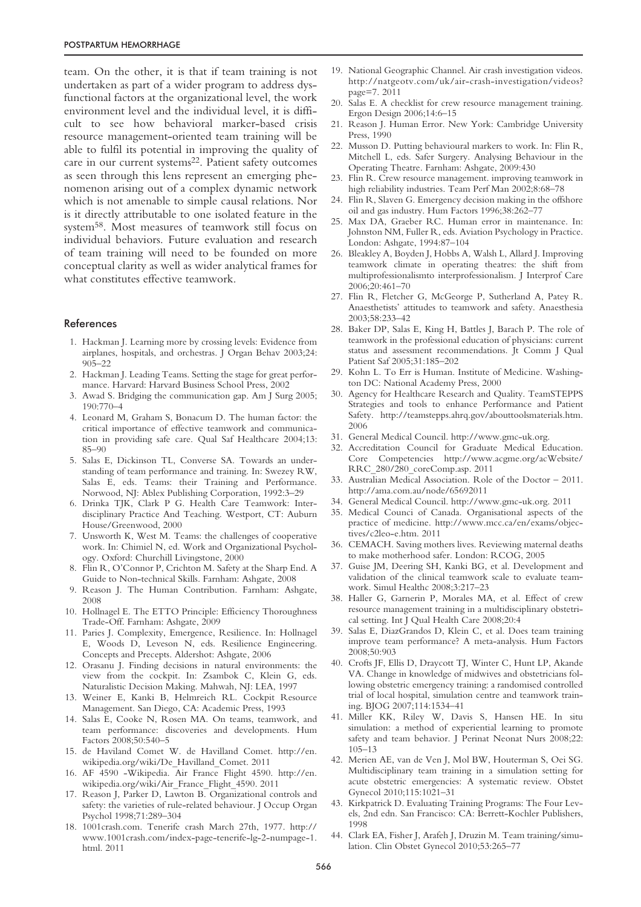team. On the other, it is that if team training is not undertaken as part of a wider program to address dysfunctional factors at the organizational level, the work environment level and the individual level, it is difficult to see how behavioral marker-based crisis resource management-oriented team training will be able to fulfil its potential in improving the quality of care in our current systems<sup>22</sup>. Patient safety outcomes as seen through this lens represent an emerging phenomenon arising out of a complex dynamic network which is not amenable to simple causal relations. Nor is it directly attributable to one isolated feature in the system58. Most measures of teamwork still focus on individual behaviors. Future evaluation and research of team training will need to be founded on more conceptual clarity as well as wider analytical frames for what constitutes effective teamwork.

## References

- 1. Hackman J. Learning more by crossing levels: Evidence from airplanes, hospitals, and orchestras. J Organ Behav 2003;24: 905–22
- 2. Hackman J. Leading Teams. Setting the stage for great performance. Harvard: Harvard Business School Press, 2002
- 3. Awad S. Bridging the communication gap. Am J Surg 2005; 190:770–4
- 4. Leonard M, Graham S, Bonacum D. The human factor: the critical importance of effective teamwork and communication in providing safe care. Qual Saf Healthcare 2004;13: 85–90
- 5. Salas E, Dickinson TL, Converse SA. Towards an understanding of team performance and training. In: Swezey RW, Salas E, eds. Teams: their Training and Performance. Norwood, NJ: Ablex Publishing Corporation, 1992:3–29
- 6. Drinka TJK, Clark P G. Health Care Teamwork: Interdisciplinary Practice And Teaching. Westport, CT: Auburn House/Greenwood, 2000
- 7. Unsworth K, West M. Teams: the challenges of cooperative work. In: Chimiel N, ed. Work and Organizational Psychology. Oxford: Churchill Livingstone, 2000
- 8. Flin R, O'Connor P, Crichton M. Safety at the Sharp End. A Guide to Non-technical Skills. Farnham: Ashgate, 2008
- 9. Reason J. The Human Contribution. Farnham: Ashgate, 2008
- 10. Hollnagel E. The ETTO Principle: Efficiency Thoroughness Trade-Off. Farnham: Ashgate, 2009
- 11. Paries J. Complexity, Emergence, Resilience. In: Hollnagel E, Woods D, Leveson N, eds. Resilience Engineering. Concepts and Precepts. Aldershot: Ashgate, 2006
- 12. Orasanu J. Finding decisions in natural environments: the view from the cockpit. In: Zsambok C, Klein G, eds. Naturalistic Decision Making. Mahwah, NJ: LEA, 1997
- 13. Weiner E, Kanki B, Helmreich RL. Cockpit Resource Management. San Diego, CA: Academic Press, 1993
- 14. Salas E, Cooke N, Rosen MA. On teams, teamwork, and team performance: discoveries and developments. Hum Factors 2008;50:540–5
- 15. de Haviland Comet W. de Havilland Comet. http://en. wikipedia.org/wiki/De\_Havilland\_Comet. 2011
- 16. AF 4590 -Wikipedia. Air France Flight 4590. http://en. wikipedia.org/wiki/Air\_France\_Flight\_4590. 2011
- 17. Reason J, Parker D, Lawton B. Organizational controls and safety: the varieties of rule-related behaviour. J Occup Organ Psychol 1998;71:289–304
- 18. 1001crash.com. Tenerife crash March 27th, 1977. http:// www.1001crash.com/index-page-tenerife-lg-2-numpage-1. html. 2011
- 19. National Geographic Channel. Air crash investigation videos. http://natgeotv.com/uk/air-crash-investigation/videos? page=7. 2011
- 20. Salas E. A checklist for crew resource management training. Ergon Design 2006;14:6–15
- 21. Reason J. Human Error. New York: Cambridge University Press, 1990
- 22. Musson D. Putting behavioural markers to work. In: Flin R, Mitchell L, eds. Safer Surgery. Analysing Behaviour in the Operating Theatre. Farnham: Ashgate, 2009:430
- 23. Flin R. Crew resource management. improving teamwork in high reliability industries. Team Perf Man 2002;8:68–78
- 24. Flin R, Slaven G. Emergency decision making in the offshore oil and gas industry. Hum Factors 1996;38:262–77
- 25. Max DA, Graeber RC. Human error in maintenance. In: Johnston NM, Fuller R, eds. Aviation Psychology in Practice. London: Ashgate, 1994:87–104
- 26. Bleakley A, Boyden J, Hobbs A, Walsh L, Allard J. Improving teamwork climate in operating theatres: the shift from multiprofessionalismto interprofessionalism. J Interprof Care 2006;20:461–70
- 27. Flin R, Fletcher G, McGeorge P, Sutherland A, Patey R. Anaesthetists' attitudes to teamwork and safety. Anaesthesia 2003;58:233–42
- 28. Baker DP, Salas E, King H, Battles J, Barach P. The role of teamwork in the professional education of physicians: current status and assessment recommendations. Jt Comm J Qual Patient Saf 2005;31:185–202
- 29. Kohn L. To Err is Human. Institute of Medicine. Washington DC: National Academy Press, 2000
- 30. Agency for Healthcare Research and Quality. TeamSTEPPS Strategies and tools to enhance Performance and Patient Safety. http://teamstepps.ahrq.gov/abouttoolsmaterials.htm. 2006
- 31. General Medical Council. http://www.gmc-uk.org.
- 32. Accreditation Council for Graduate Medical Education. Core Competencies http://www.acgme.org/acWebsite/ RRC\_280/280\_coreComp.asp. 2011
- 33. Australian Medical Association. Role of the Doctor 2011. http://ama.com.au/node/65692011
- 34. General Medical Council. http://www.gmc-uk.org. 2011
- 35. Medical Counci of Canada. Organisational aspects of the practice of medicine. http://www.mcc.ca/en/exams/objectives/c2leo-e.htm. 2011
- 36. CEMACH. Saving mothers lives. Reviewing maternal deaths to make motherhood safer. London: RCOG, 2005
- 37. Guise JM, Deering SH, Kanki BG, et al. Development and validation of the clinical teamwork scale to evaluate teamwork. Simul Healthc 2008;3:217–23
- 38. Haller G, Garnerin P, Morales MA, et al. Effect of crew resource management training in a multidisciplinary obstetrical setting. Int J Qual Health Care 2008;20:4
- 39. Salas E, DiazGrandos D, Klein C, et al. Does team training improve team performance? A meta-analysis. Hum Factors 2008;50:903
- 40. Crofts JF, Ellis D, Draycott TJ, Winter C, Hunt LP, Akande VA. Change in knowledge of midwives and obstetricians following obstetric emergency training: a randomised controlled trial of local hospital, simulation centre and teamwork training. BJOG 2007;114:1534–41
- 41. Miller KK, Riley W, Davis S, Hansen HE. In situ simulation: a method of experiential learning to promote safety and team behavior. J Perinat Neonat Nurs 2008;22: 105–13
- 42. Merien AE, van de Ven J, Mol BW, Houterman S, Oei SG. Multidisciplinary team training in a simulation setting for acute obstetric emergencies: A systematic review. Obstet Gynecol 2010;115:1021–31
- 43. Kirkpatrick D. Evaluating Training Programs: The Four Levels, 2nd edn. San Francisco: CA: Berrett-Kochler Publishers, 1998
- 44. Clark EA, Fisher J, Arafeh J, Druzin M. Team training/simulation. Clin Obstet Gynecol 2010;53:265–77